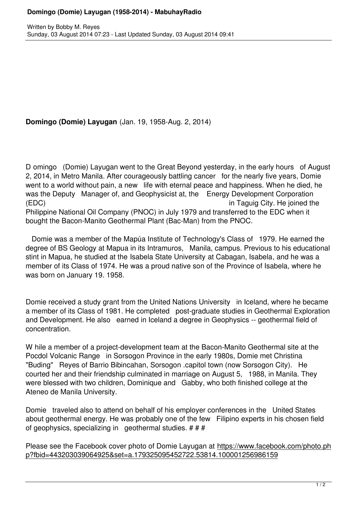## **Domingo (Domie) Layugan** (Jan. 19, 1958-Aug. 2, 2014)

D omingo (Domie) Layugan went to the Great Beyond yesterday, in the early hours of August 2, 2014, in Metro Manila. After courageously battling cancer for the nearly five years, Domie went to a world without pain, a new life with eternal peace and happiness. When he died, he was the Deputy Manager of, and Geophysicist at, the Energy Development Corporation (EDC) in Taguig City. He joined the Philippine National Oil Company (PNOC) in July 1979 and transferred to the EDC when it bought the Bacon-Manito Geothermal Plant (Bac-Man) from the PNOC.

 Domie was a member of the Mapúa Institute of Technology's Class of 1979. He earned the degree of BS Geology at Mapua in its Intramuros, Manila, campus. Previous to his educational stint in Mapua, he studied at the Isabela State University at Cabagan, Isabela, and he was a member of its Class of 1974. He was a proud native son of the Province of Isabela, where he was born on January 19. 1958.

Domie received a study grant from the United Nations University in Iceland, where he became a member of its Class of 1981. He completed post-graduate studies in Geothermal Exploration and Development. He also earned in Iceland a degree in Geophysics -- geothermal field of concentration.

W hile a member of a project-development team at the Bacon-Manito Geothermal site at the Pocdol Volcanic Range in Sorsogon Province in the early 1980s, Domie met Christina "Buding" Reyes of Barrio Bibincahan, Sorsogon .capitol town (now Sorsogon City). He courted her and their friendship culminated in marriage on August 5, 1988, in Manila. They were blessed with two children, Dominique and Gabby, who both finished college at the Ateneo de Manila University.

Domie traveled also to attend on behalf of his employer conferences in the United States about geothermal energy. He was probably one of the few Filipino experts in his chosen field of geophysics, specializing in geothermal studies. # # #

Please see the Facebook cover photo of Domie Layugan at https://www.facebook.com/photo.ph p?fbid=443203039064925&set=a.179325095452722.53814.100001256986159